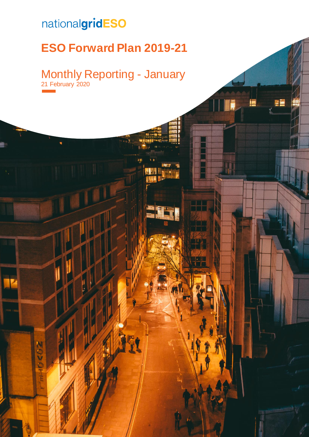# nationalgridESO

nenz

# **ESO Forward Plan 2019-21**

## Monthly Reporting - January 21 February 2020

EĒ

21 February 2020 | **Error! No text of specified style in document.** 0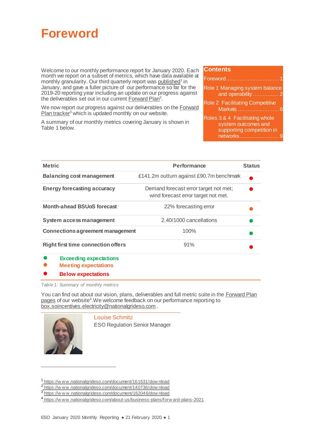<span id="page-1-1"></span>

Welcome to our monthly performance report for January 2020. Each month we report on a subset of metrics, which have data available at monthly granularity. Our third quarterly report wa[s published](https://www.nationalgrideso.com/document/148691/download)<sup>1</sup> in January, and gave a fuller picture of our performance so far for the 2019-20 reporting year including an update on our progress against the deliverables set out in our curren[t Forward Plan](https://www.nationalgrideso.com/document/140736/download)<sup>2</sup>.

We now report our progress against our deliverables on the **Forward**  $Plan$  tracker<sup>3</sup> which is updated monthly on our website.

A summary of our monthly metrics covering January is shown in [Table 1](#page-1-0) below.

### **Contents**

| Role 1 Managing system balance<br>and operability2                                              |  |
|-------------------------------------------------------------------------------------------------|--|
| <b>Role 2 Facilitating Competitive</b>                                                          |  |
| Roles 3 & 4 Facilitating whole<br>system outcomes and<br>supporting competition in<br>networks9 |  |

| <b>Metric</b>                             | Performance                                                                  | <b>Status</b> |
|-------------------------------------------|------------------------------------------------------------------------------|---------------|
| <b>Balancing cost management</b>          | £141.2m outturn against £90.7m benchmark                                     |               |
| <b>Energy forecasting accuracy</b>        | Demand forecast error target not met;<br>wind forecast error target not met. |               |
| <b>Month-ahead BSUoS forecast</b>         | 22% forecasting error                                                        |               |
| System access management                  | 2.40/1000 cancellations                                                      |               |
| <b>Connections agreement management</b>   | 100%                                                                         |               |
| <b>Right first time connection offers</b> | 91%                                                                          |               |
|                                           |                                                                              |               |

- **Exceeding expectations**
- **Meeting expectations**
- **Below expectations**

<span id="page-1-0"></span>*Table 1: Summary of monthly metrics*

You can find out about our vision, plans, deliverables and full metric suite in the Forward Plan [pages](https://www.nationalgrideso.com/about-us/business-plans/forward-plans-2021) of our website<sup>4</sup>. We welcome feedback on our performance reporting to [box.soincentives.electricity@nationalgrideso.com](mailto:box.soincentives.electricity@nationalgrideso.com) .



 $\overline{a}$ 

Louise Schmitz

ESO Regulation Senior Manager

<sup>1</sup> [https://w ww.nationalgrideso.com/document/161531/dow nload](https://www.nationalgrideso.com/document/161531/download)

<sup>&</sup>lt;sup>2</sup>https://www.nationalgrideso.com/document/140736/download

<sup>3</sup> [https://w w w.nationalgrideso.com/document/162046/dow nload](https://www.nationalgrideso.com/document/162046/download)

<sup>4</sup> [https://w ww.nationalgrideso.com/about-us/business-plans/forw ard-plans-2021](https://www.nationalgrideso.com/about-us/business-plans/forward-plans-2021)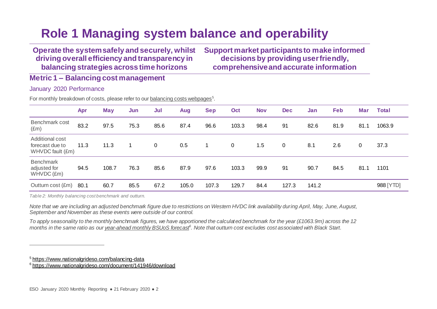# **Role 1 Managing system balance and operability**

**Operate the system safely and securely, whilst driving overall efficiency and transparency in balancing strategies across time horizons**

**Support market participants to make informed decisions by providing user friendly, comprehensive and accurate information**

**Metric 1 – Balancing cost management**

January 2020 Performance

For monthly breakdown of costs, please refer to our **balancing costs webpages**<sup>5</sup>.

<span id="page-2-0"></span>

|                                                        | Apr  | <b>May</b> | Jun  | Jul         | Aug   | <b>Sep</b> | Oct          | <b>Nov</b> | <b>Dec</b> | Jan   | Feb  | <b>Mar</b> | <b>Total</b> |
|--------------------------------------------------------|------|------------|------|-------------|-------|------------|--------------|------------|------------|-------|------|------------|--------------|
| Benchmark cost<br>$(\text{Em})$                        | 83.2 | 97.5       | 75.3 | 85.6        | 87.4  | 96.6       | 103.3        | 98.4       | 91         | 82.6  | 81.9 | 81.1       | 1063.9       |
| Additional cost<br>forecast due to<br>WHVDC fault (£m) | 11.3 | 11.3       |      | $\mathbf 0$ | 0.5   |            | $\mathbf{0}$ | 1.5        | 0          | 8.1   | 2.6  | 0          | 37.3         |
| <b>Benchmark</b><br>adjusted for<br>WHVDC (£m)         | 94.5 | 108.7      | 76.3 | 85.6        | 87.9  | 97.6       | 103.3        | 99.9       | 91         | 90.7  | 84.5 | 81.1       | 1101         |
| Outturn cost (£m)                                      | 80.1 | 60.7       | 85.5 | 67.2        | 105.0 | 107.3      | 129.7        | 84.4       | 127.3      | 141.2 |      |            | 988 [YTD]    |

*Table 2: Monthly balancing cost benchmark and outturn.*

*Note that we are including an adjusted benchmark figure due to restrictions on Western HVDC link availability during April, May, June, August, September and November as these events were outside of our control.*

*To apply seasonality to the monthly benchmark figures, we have apportioned the calculated benchmark for the year (£1063.9m) across the 12 months in the same ratio as ou[r year-ahead monthly BSUoS forecast](https://www.nationalgrideso.com/document/141946/download)<sup>6</sup> . Note that outturn cost excludes cost associated with Black Start.*

<sup>5</sup> <https://www.nationalgrideso.com/balancing-data>

í

<sup>6</sup> <https://www.nationalgrideso.com/document/141946/download>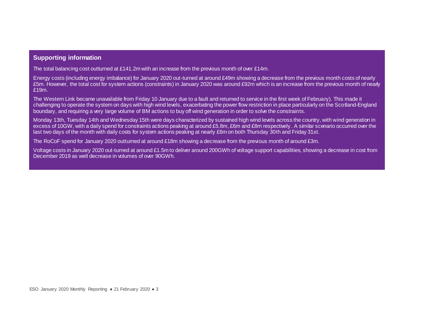### **Supporting information**

The total balancing cost outturned at £141.2m with an increase from the previous month of over £14m.

Energy costs (including energy imbalance) for January 2020 out-turned at around £49m showing a decrease from the previous month costs of nearly £5m. However, the total cost for system actions (constraints) in January 2020 was around £92m which is an increase from the previous month of nearly £19m.

The Western Link became unavailable from Friday 10 January due to a fault and returned to service in the first week of February). This made it challenging to operate the system on days with high wind levels, exacerbating the power flow restriction in place particularly on the Scotland-England boundary, and requiring a very large volume of BM actions to buy off wind generation in order to solve the constraints.

Monday 13th, Tuesday 14th and Wednesday 15th were days characterized by sustained high wind levels across the country, with wind generation in excess of 10GW, with a daily spend for constraints actions peaking at around £5.8m, £6m and £8m respectively . A similar scenario occurred over the last two days of the month with daily costs for system actions peaking at nearly £6m on both Thursday 30th and Friday 31st.

The RoCoF spend for January 2020 outturned at around £18m showing a decrease from the previous month of around £3m.

Voltage costs in January 2020 out-turned at around £1.5m to deliver around 200GWh of voltage support capabilities, showing a decrease in cost from December 2019 as well decrease in volumes of over 90GWh.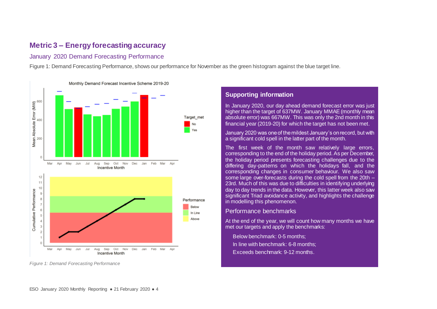## **Metric 3 – Energy forecasting accuracy**

### January 2020 Demand Forecasting Performance

[Figure 1: Demand Forecasting Performance](#page-4-0), shows our performance for November as the green histogram against the blue target line.



<span id="page-4-0"></span>*Figure 1: Demand Forecasting Performance*

### **Supporting information**

In January 2020, our day ahead demand forecast error was just higher than the target of 637MW. January MMAE (monthly mean absolute error) was 667MW. This was only the 2nd month in this financial year (2019-20) for which the target has not been met.

January 2020 was one of the mildest January's on record, but with a significant cold spell in the latter part of the month.

The first week of the month saw relatively large errors, corresponding to the end of the holiday period. As per December, the holiday period presents forecasting challenges due to the differing day-patterns on which the holidays fall, and the corresponding changes in consumer behaviour. We also saw some large over-forecasts during the cold spell from the 20th – 23rd. Much of this was due to difficulties in identifying underlying day to day trends in the data. However, this latter week also saw significant Triad avoidance activity, and highlights the challenge in modelling this phenomenon.

#### Performance benchmarks

At the end of the year, we will count how many months we have met our targets and apply the benchmarks:

• Below benchmark: 0-5 months; In line with benchmark: 6-8 months; • Exceeds benchmark: 9-12 months.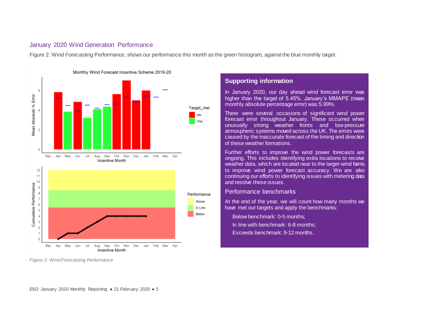### January 2020 Wind Generation Performance

[Figure 2: Wind Forecasting Performance](#page-5-0), shows our performance this month as the green histogram, against the blue monthly target.



<span id="page-5-0"></span>*Figure 2: Wind Forecasting Performance*

### **Supporting information**

In January 2020, our day ahead wind forecast error was higher than the target of 5.45%. January's MMAPE (mean monthly absolute percentage error) was 5.99%.

There were several occasions of significant wind power forecast error throughout January. These occurred when unusually strong weather fronts and low-pressure atmospheric systems moved across the UK. The errors were caused by the inaccurate forecast of the timing and direction of these weather formations.

Further efforts to improve the wind power forecasts are ongoing. This includes identifying extra locations to receive weather data, which are located near to the larger wind fams to improve wind power forecast accuracy. We are also continuing our efforts to identifying issues with metering data and resolve these issues.

### Performance benchmarks

At the end of the year, we will count how many months we have met our targets and apply the benchmarks:

Below benchmark: 0-5 months: • In line with benchmark: 6-8 months; • Exceeds benchmark: 9-12 months.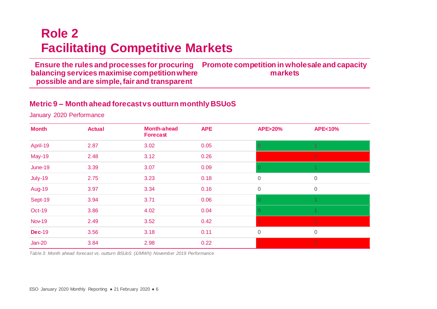# **Role 2 Facilitating Competitive Markets**

**Ensure the rules and processes for procuring Promote competition in wholesale and capacity balancing services maximise competition where possible and are simple, fair and transparent markets**

## **Metric 9 – Month ahead forecast vs outturn monthly BSUoS**

January 2020 Performance

<span id="page-6-0"></span>

| <b>Month</b>  | <b>Actual</b> | <b>Month-ahead</b><br><b>Forecast</b> | <b>APE</b> | <b>APE&gt;20%</b> | <b>APE&lt;10%</b> |
|---------------|---------------|---------------------------------------|------------|-------------------|-------------------|
| April-19      | 2.87          | 3.02                                  | 0.05       | $\overline{0}$    | $\overline{1}$    |
| <b>May-19</b> | 2.48          | 3.12                                  | 0.26       |                   | $\overline{0}$    |
| June-19       | 3.39          | 3.07                                  | 0.09       | 0                 |                   |
| July-19       | 2.75          | 3.23                                  | 0.18       | $\overline{0}$    | $\mathbf 0$       |
| <b>Aug-19</b> | 3.97          | 3.34                                  | 0.16       | $\overline{0}$    | $\mathbf 0$       |
| Sept-19       | 3.94          | 3.71                                  | 0.06       | $\Omega$          |                   |
| <b>Oct-19</b> | 3.86          | 4.02                                  | 0.04       |                   |                   |
| <b>Nov-19</b> | 2.49          | 3.52                                  | 0.42       |                   | $\overline{0}$    |
| <b>Dec-19</b> | 3.56          | 3.18                                  | 0.11       | $\mathbf 0$       | $\mathbf 0$       |
| $Jan-20$      | 3.84          | 2.98                                  | 0.22       |                   | $\overline{0}$    |

*Table 3: Month ahead forecast vs. outturn BSUoS (£/MWh) November 2019 Performance*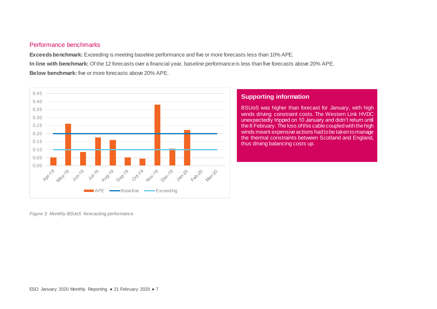### Performance benchmarks

**Exceeds benchmark:** Exceeding is meeting baseline performance and five or more forecasts less than 10% APE. **In line with benchmark:** Of the 12 forecasts over a financial year, baseline performance is less than five forecasts above 20% APE. **Below benchmark:** five or more forecasts above 20% APE.



### **Supporting information**

BSUoS was higher than forecast for January, with high winds driving constraint costs. The Western Link HVDC unexpectedly tripped on 10 January and didn't return until the 8 February. Theloss of this cable coupled with the high winds meant expensive actions had to be taken to manage the thermal constraints between Scotland and England, thus driving balancing costs up.

*Figure 3: Monthly BSUoS forecasting performance*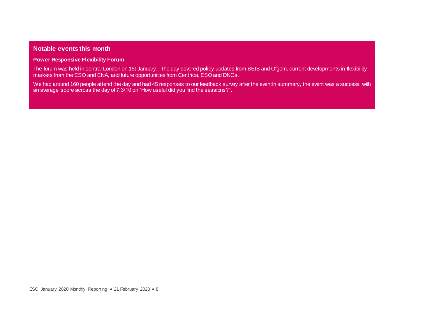### **Notable events this month**

#### **Power Responsive Flexibility Forum**

The forum was held in central London on 15t January. The day covered policy updates from BEIS and Ofgem, current developments in flexibility markets from the ESO and ENA, and future opportunities from Centrica, ESO and DNOs.

We had around 160 people attend the day and had 45 responses to our feedback survey after the eventIn summary, the event was a success, with an average score across the day of 7.3/10 on "How useful did you find the sessions?".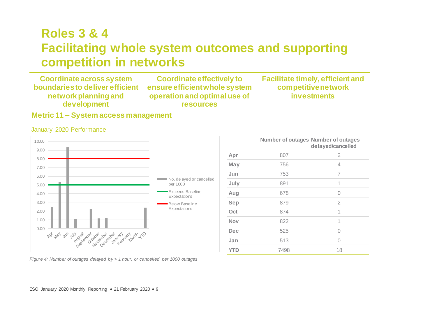# **Roles 3 & 4 Facilitating whole system outcomes and supporting competition in networks**

**Coordinate across system boundaries to deliver efficient network planning and development Coordinate effectively to ensure efficient whole system operation and optimal use of resources Facilitate timely, efficient and competitive network investments**

## **Metric 11 – System access management**

#### <span id="page-9-0"></span>10.00 9.00 8.00 7.00 6.00 No. delayed or cancelled per 1000 5.00 Exceeds Baseline 4.00 **Expectations** 3.00 Below Baseline Expectations 2.00 1.00 0.00 September 24 iber de George Land Lachard LtD 181 150

|            |      | <b>Number of outages Number of outages</b><br>delayed/cancelled |
|------------|------|-----------------------------------------------------------------|
| Apr        | 807  | 2                                                               |
| May        | 756  | 4                                                               |
| Jun        | 753  | 7                                                               |
| July       | 891  | 1                                                               |
| Aug        | 678  | $\bigcap$                                                       |
| Sep        | 879  | 2                                                               |
| Oct        | 874  | 1                                                               |
| <b>Nov</b> | 822  | 1                                                               |
| Dec        | 525  | $\bigcap$                                                       |
| Jan        | 513  | $\bigcap$                                                       |
| <b>YTD</b> | 7498 | 18                                                              |

*Figure 4: Number of outages delayed by > 1 hour, or cancelled, per 1000 outages* 

### January 2020 Performance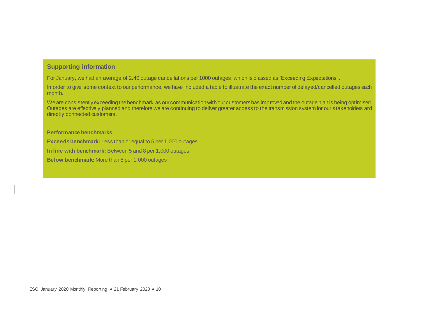### **Supporting information**

For January, we had an average of 2.40 outage cancellations per 1000 outages, which is classed as 'Exceeding Expectations' .

In order to give some context to our performance, we have included a table to illustrate the exact number of delayed/cancelled outages each month.

We are consistently exceeding the benchmark, as our communication with our customers has improved and the outage plan is being optimised. Outages are effectively planned and therefore we are continuing to deliver greater access to the transmission system for our s takeholders and directly connected customers.

#### **Performance benchmarks**

**Exceeds benchmark:** Less than or equal to 5 per 1,000 outages

**In line with benchmark:** Between 5 and 8 per 1,000 outages

**Below benchmark:** More than 8 per 1,000 outages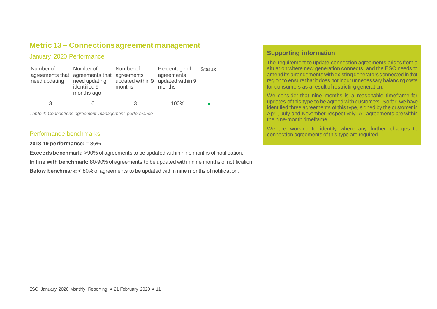## **Metric 13 – Connections agreement management**

### January 2020 Performance

| Number of<br>need updating | Number of<br>agreements that agreements that agreements<br>need updating<br>identified 9<br>months ago | Number of<br>updated within 9<br>months | Percentage of<br>agreements<br>updated within 9<br>months | <b>Status</b> |
|----------------------------|--------------------------------------------------------------------------------------------------------|-----------------------------------------|-----------------------------------------------------------|---------------|
| 3                          |                                                                                                        | 3                                       | 100%                                                      |               |

*Table 4: Connections agreement management performance*

### Performance benchmarks

**2018-19 performance:** = 86%.

**Exceeds benchmark:** >90% of agreements to be updated within nine months of notification.

**In line with benchmark:** 80-90% of agreements to be updated within nine months of notification.

**Below benchmark:** < 80% of agreements to be updated within nine months of notification.

### **Supporting information**

.

The requirement to update connection agreements arises from a situation where new generation connects, and the ESO needs to amend its arrangements with existing generators connected in that region to ensure that it does not incur unnecessary balancing costs for consumers as a result of restricting generation.

We consider that nine months is a reasonable timeframe for updates of this type to be agreed with customers. So far, we have identified three agreements of this type, signed by the customer in April, July and November respectively. All agreements are within the nine-month timeframe.

We are working to identify where any further changes to connection agreements of this type are required.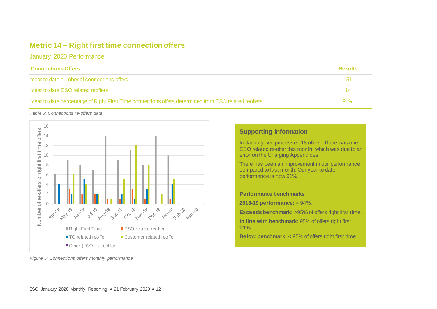## **Metric 14 – Right first time connection offers**

January 2020 Performance

| <b>Connections Offers</b>                                                                           | <b>Results</b> |
|-----------------------------------------------------------------------------------------------------|----------------|
| Year to date number of connections offers                                                           | 151            |
| Year to date ESO related reoffers                                                                   | 14             |
| Year to date percentage of Right First Time connections offers determined from ESO related reoffers | 91%            |

*Table 5: Connections re-offers data*



### **Supporting information**

In January, we processed 18 offers. There was one ESO related re-offer this month, which was due to an error on the Charging Appendices

There has been an improvement in our performance compared to last month. Our year to date performance is now 91%

**Performance benchmarks**

**2018-19 performance:** = 94%.

**Exceeds benchmark:** >95% of offers right first time.

**In line with benchmark:** 95% of offers right first time.

**Below benchmark:** < 95% of offers right first time.

*Figure 5: Connections offers monthly performance*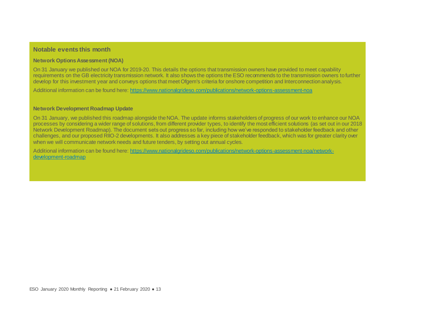### **Notable events this month**

#### **Network Options Assessment (NOA)**

On 31 January we published our NOA for 2019-20. This details the options that transmission owners have provided to meet capability requirements on the GB electricity transmission network. It also shows the options the ESO recommends to the transmission owners to further develop for this investment year and conveys options that meet Ofgem's criteria for onshore competition and Interconnection analysis.

Additional information can be found here[: https://www.nationalgrideso.com/publications/network-options-assessment-noa](https://www.nationalgrideso.com/publications/network-options-assessment-noa)

#### **Network Development Roadmap Update**

On 31 January, we published this roadmap alongside the NOA. The update informs stakeholders of progress of our work to enhance our NOA processes by considering a wider range of solutions, from different provider types, to identify the most efficient solutions (as set out in our 2018 Network Development Roadmap). The document sets out progress so far, including how we've responded to stakeholder feedback and other challenges, and our proposed RIIO-2 developments. It also addresses a key piece of stakeholder feedback, which was for greater clarity over when we will communicate network needs and future tenders, by setting out annual cycles.

Additional information can be found here[: https://www.nationalgrideso.com/publications/network-options-assessment-noa/network](https://www.nationalgrideso.com/publications/network-options-assessment-noa/network-development-roadmap)[development-roadmap](https://www.nationalgrideso.com/publications/network-options-assessment-noa/network-development-roadmap)